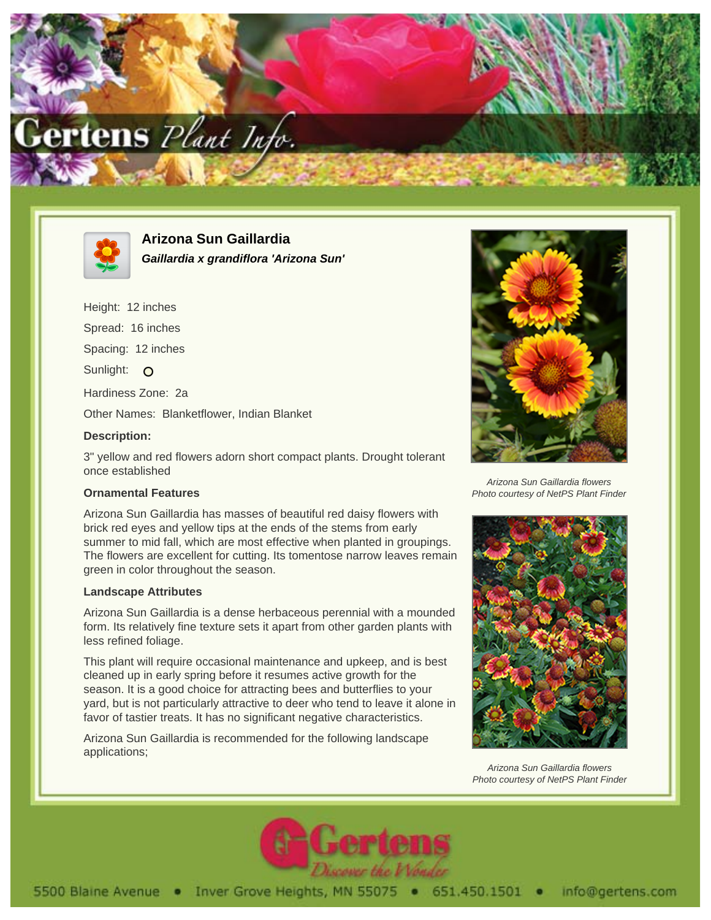



**Arizona Sun Gaillardia Gaillardia x grandiflora 'Arizona Sun'**

Height: 12 inches

Spread: 16 inches

Spacing: 12 inches

Sunlight: O

Hardiness Zone: 2a

Other Names: Blanketflower, Indian Blanket

## **Description:**

3" yellow and red flowers adorn short compact plants. Drought tolerant once established

## **Ornamental Features**

Arizona Sun Gaillardia has masses of beautiful red daisy flowers with brick red eyes and yellow tips at the ends of the stems from early summer to mid fall, which are most effective when planted in groupings. The flowers are excellent for cutting. Its tomentose narrow leaves remain green in color throughout the season.

## **Landscape Attributes**

Arizona Sun Gaillardia is a dense herbaceous perennial with a mounded form. Its relatively fine texture sets it apart from other garden plants with less refined foliage.

This plant will require occasional maintenance and upkeep, and is best cleaned up in early spring before it resumes active growth for the season. It is a good choice for attracting bees and butterflies to your yard, but is not particularly attractive to deer who tend to leave it alone in favor of tastier treats. It has no significant negative characteristics.

Arizona Sun Gaillardia is recommended for the following landscape applications;



Arizona Sun Gaillardia flowers Photo courtesy of NetPS Plant Finder



Arizona Sun Gaillardia flowers Photo courtesy of NetPS Plant Finder